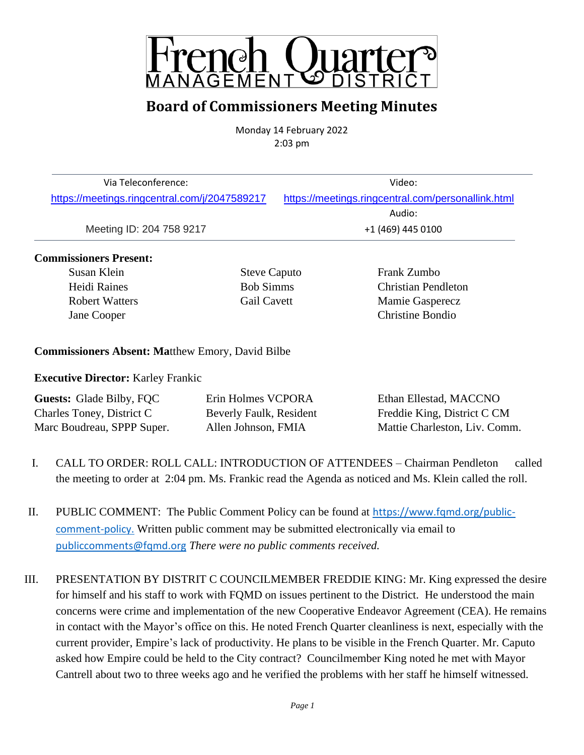

## **Board of Commissioners Meeting Minutes**

Monday 14 February 2022 2:03 pm

| Via Teleconference:                           | Video:                                             |
|-----------------------------------------------|----------------------------------------------------|
| https://meetings.ringcentral.com/j/2047589217 | https://meetings.ringcentral.com/personallink.html |
|                                               | Audio:                                             |
| Meeting ID: 204 758 9217                      | +1 (469) 445 0100                                  |

#### **Commissioners Present:**

Susan Klein Steve Caputo Frank Zumbo

Heidi Raines Bob Simms Christian Pendleton Robert Watters Gail Cavett Mamie Gasperecz Jane Cooper Christine Bondio

#### **Commissioners Absent: Ma**tthew Emory, David Bilbe

**Executive Director:** Karley Frankic

| <b>Guests:</b> Glade Bilby, FQC | Erin Holmes VCPORA      | Ethan Ellestad, MACCNO        |
|---------------------------------|-------------------------|-------------------------------|
| Charles Toney, District C       | Beverly Faulk, Resident | Freddie King, District C CM   |
| Marc Boudreau, SPPP Super.      | Allen Johnson, FMIA     | Mattie Charleston, Liv. Comm. |

- I. CALL TO ORDER: ROLL CALL: INTRODUCTION OF ATTENDEES Chairman Pendleton called the meeting to order at 2:04 pm. Ms. Frankic read the Agenda as noticed and Ms. Klein called the roll.
- II. PUBLIC COMMENT: The Public Comment Policy can be found at [https://www.fqmd.org/public](https://www.fqmd.org/public-comment-policy)[comment-policy.](https://www.fqmd.org/public-comment-policy) Written public comment may be submitted electronically via email to [publiccomments@fqmd.org](mailto:publiccomments@fqmd.org) *There were no public comments received.*
- III. PRESENTATION BY DISTRIT C COUNCILMEMBER FREDDIE KING: Mr. King expressed the desire for himself and his staff to work with FQMD on issues pertinent to the District. He understood the main concerns were crime and implementation of the new Cooperative Endeavor Agreement (CEA). He remains in contact with the Mayor's office on this. He noted French Quarter cleanliness is next, especially with the current provider, Empire's lack of productivity. He plans to be visible in the French Quarter. Mr. Caputo asked how Empire could be held to the City contract? Councilmember King noted he met with Mayor Cantrell about two to three weeks ago and he verified the problems with her staff he himself witnessed.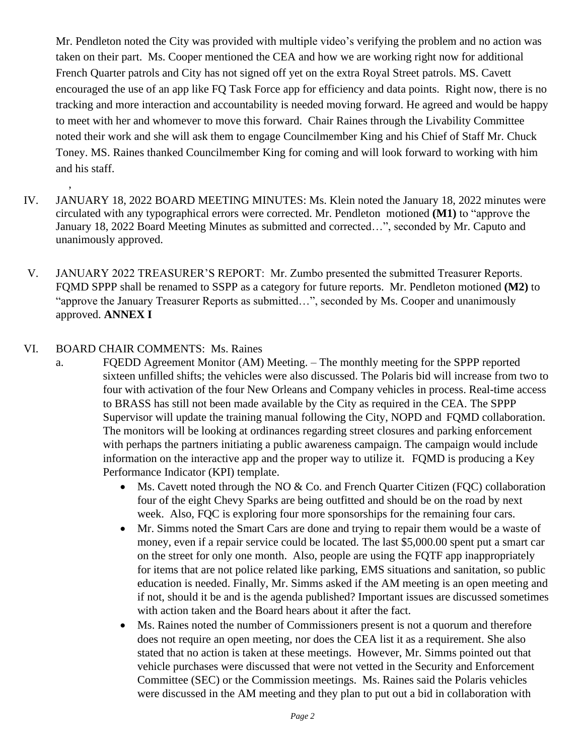Mr. Pendleton noted the City was provided with multiple video's verifying the problem and no action was taken on their part. Ms. Cooper mentioned the CEA and how we are working right now for additional French Quarter patrols and City has not signed off yet on the extra Royal Street patrols. MS. Cavett encouraged the use of an app like FQ Task Force app for efficiency and data points. Right now, there is no tracking and more interaction and accountability is needed moving forward. He agreed and would be happy to meet with her and whomever to move this forward. Chair Raines through the Livability Committee noted their work and she will ask them to engage Councilmember King and his Chief of Staff Mr. Chuck Toney. MS. Raines thanked Councilmember King for coming and will look forward to working with him and his staff.

- IV. JANUARY 18, 2022 BOARD MEETING MINUTES: Ms. Klein noted the January 18, 2022 minutes were circulated with any typographical errors were corrected. Mr. Pendleton motioned **(M1)** to "approve the January 18, 2022 Board Meeting Minutes as submitted and corrected…", seconded by Mr. Caputo and unanimously approved.
- V. JANUARY 2022 TREASURER'S REPORT: Mr. Zumbo presented the submitted Treasurer Reports. FQMD SPPP shall be renamed to SSPP as a category for future reports. Mr. Pendleton motioned **(M2)** to "approve the January Treasurer Reports as submitted…", seconded by Ms. Cooper and unanimously approved. **ANNEX I**

#### VI. BOARD CHAIR COMMENTS: Ms. Raines

,

- a. FQEDD Agreement Monitor (AM) Meeting. The monthly meeting for the SPPP reported sixteen unfilled shifts; the vehicles were also discussed. The Polaris bid will increase from two to four with activation of the four New Orleans and Company vehicles in process. Real-time access to BRASS has still not been made available by the City as required in the CEA. The SPPP Supervisor will update the training manual following the City, NOPD and FQMD collaboration. The monitors will be looking at ordinances regarding street closures and parking enforcement with perhaps the partners initiating a public awareness campaign. The campaign would include information on the interactive app and the proper way to utilize it. FQMD is producing a Key Performance Indicator (KPI) template.
	- Ms. Cavett noted through the NO & Co. and French Quarter Citizen (FQC) collaboration four of the eight Chevy Sparks are being outfitted and should be on the road by next week. Also, FQC is exploring four more sponsorships for the remaining four cars.
	- Mr. Simms noted the Smart Cars are done and trying to repair them would be a waste of money, even if a repair service could be located. The last \$5,000.00 spent put a smart car on the street for only one month. Also, people are using the FQTF app inappropriately for items that are not police related like parking, EMS situations and sanitation, so public education is needed. Finally, Mr. Simms asked if the AM meeting is an open meeting and if not, should it be and is the agenda published? Important issues are discussed sometimes with action taken and the Board hears about it after the fact.
	- Ms. Raines noted the number of Commissioners present is not a quorum and therefore does not require an open meeting, nor does the CEA list it as a requirement. She also stated that no action is taken at these meetings. However, Mr. Simms pointed out that vehicle purchases were discussed that were not vetted in the Security and Enforcement Committee (SEC) or the Commission meetings. Ms. Raines said the Polaris vehicles were discussed in the AM meeting and they plan to put out a bid in collaboration with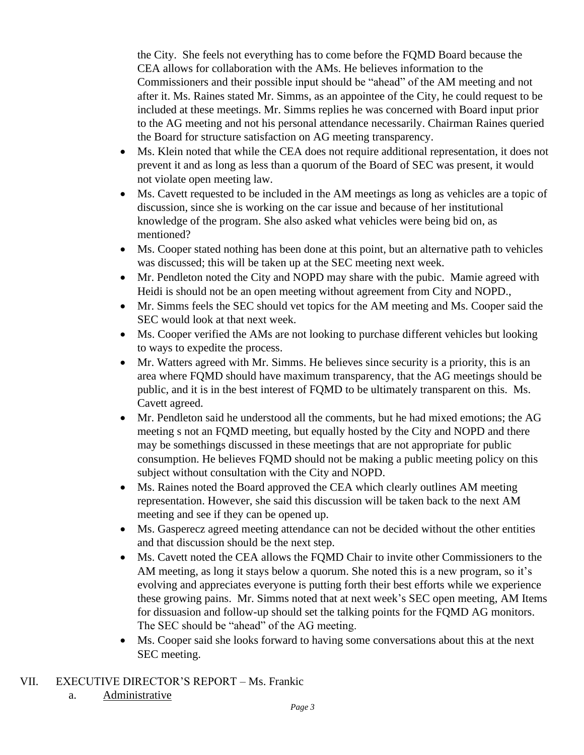the City. She feels not everything has to come before the FQMD Board because the CEA allows for collaboration with the AMs. He believes information to the Commissioners and their possible input should be "ahead" of the AM meeting and not after it. Ms. Raines stated Mr. Simms, as an appointee of the City, he could request to be included at these meetings. Mr. Simms replies he was concerned with Board input prior to the AG meeting and not his personal attendance necessarily. Chairman Raines queried the Board for structure satisfaction on AG meeting transparency.

- Ms. Klein noted that while the CEA does not require additional representation, it does not prevent it and as long as less than a quorum of the Board of SEC was present, it would not violate open meeting law.
- Ms. Cavett requested to be included in the AM meetings as long as vehicles are a topic of discussion, since she is working on the car issue and because of her institutional knowledge of the program. She also asked what vehicles were being bid on, as mentioned?
- Ms. Cooper stated nothing has been done at this point, but an alternative path to vehicles was discussed; this will be taken up at the SEC meeting next week.
- Mr. Pendleton noted the City and NOPD may share with the pubic. Mamie agreed with Heidi is should not be an open meeting without agreement from City and NOPD.,
- Mr. Simms feels the SEC should vet topics for the AM meeting and Ms. Cooper said the SEC would look at that next week.
- Ms. Cooper verified the AMs are not looking to purchase different vehicles but looking to ways to expedite the process.
- Mr. Watters agreed with Mr. Simms. He believes since security is a priority, this is an area where FQMD should have maximum transparency, that the AG meetings should be public, and it is in the best interest of FQMD to be ultimately transparent on this. Ms. Cavett agreed.
- Mr. Pendleton said he understood all the comments, but he had mixed emotions; the AG meeting s not an FQMD meeting, but equally hosted by the City and NOPD and there may be somethings discussed in these meetings that are not appropriate for public consumption. He believes FQMD should not be making a public meeting policy on this subject without consultation with the City and NOPD.
- Ms. Raines noted the Board approved the CEA which clearly outlines AM meeting representation. However, she said this discussion will be taken back to the next AM meeting and see if they can be opened up.
- Ms. Gasperecz agreed meeting attendance can not be decided without the other entities and that discussion should be the next step.
- Ms. Cavett noted the CEA allows the FQMD Chair to invite other Commissioners to the AM meeting, as long it stays below a quorum. She noted this is a new program, so it's evolving and appreciates everyone is putting forth their best efforts while we experience these growing pains. Mr. Simms noted that at next week's SEC open meeting, AM Items for dissuasion and follow-up should set the talking points for the FQMD AG monitors. The SEC should be "ahead" of the AG meeting.
- Ms. Cooper said she looks forward to having some conversations about this at the next SEC meeting.

### VII. EXECUTIVE DIRECTOR'S REPORT – Ms. Frankic

a. Administrative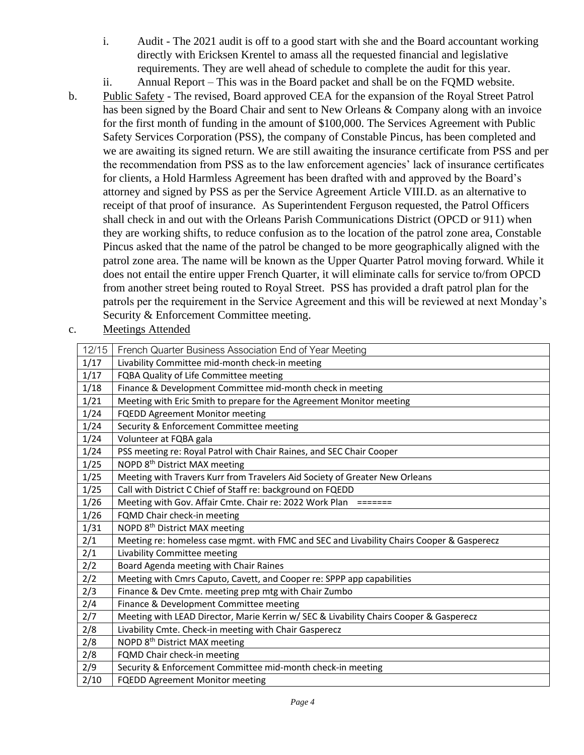- i. Audit The 2021 audit is off to a good start with she and the Board accountant working directly with Ericksen Krentel to amass all the requested financial and legislative requirements. They are well ahead of schedule to complete the audit for this year.
- ii. Annual Report This was in the Board packet and shall be on the FQMD website.
- b. Public Safety The revised, Board approved CEA for the expansion of the Royal Street Patrol has been signed by the Board Chair and sent to New Orleans & Company along with an invoice for the first month of funding in the amount of \$100,000. The Services Agreement with Public Safety Services Corporation (PSS), the company of Constable Pincus, has been completed and we are awaiting its signed return. We are still awaiting the insurance certificate from PSS and per the recommendation from PSS as to the law enforcement agencies' lack of insurance certificates for clients, a Hold Harmless Agreement has been drafted with and approved by the Board's attorney and signed by PSS as per the Service Agreement Article VIII.D. as an alternative to receipt of that proof of insurance. As Superintendent Ferguson requested, the Patrol Officers shall check in and out with the Orleans Parish Communications District (OPCD or 911) when they are working shifts, to reduce confusion as to the location of the patrol zone area, Constable Pincus asked that the name of the patrol be changed to be more geographically aligned with the patrol zone area. The name will be known as the Upper Quarter Patrol moving forward. While it does not entail the entire upper French Quarter, it will eliminate calls for service to/from OPCD from another street being routed to Royal Street. PSS has provided a draft patrol plan for the patrols per the requirement in the Service Agreement and this will be reviewed at next Monday's Security & Enforcement Committee meeting.
- c. Meetings Attended

| 12/15 | French Quarter Business Association End of Year Meeting                                   |
|-------|-------------------------------------------------------------------------------------------|
| 1/17  | Livability Committee mid-month check-in meeting                                           |
| 1/17  | FQBA Quality of Life Committee meeting                                                    |
| 1/18  | Finance & Development Committee mid-month check in meeting                                |
| 1/21  | Meeting with Eric Smith to prepare for the Agreement Monitor meeting                      |
| 1/24  | FQEDD Agreement Monitor meeting                                                           |
| 1/24  | Security & Enforcement Committee meeting                                                  |
| 1/24  | Volunteer at FQBA gala                                                                    |
| 1/24  | PSS meeting re: Royal Patrol with Chair Raines, and SEC Chair Cooper                      |
| 1/25  | NOPD 8 <sup>th</sup> District MAX meeting                                                 |
| 1/25  | Meeting with Travers Kurr from Travelers Aid Society of Greater New Orleans               |
| 1/25  | Call with District C Chief of Staff re: background on FQEDD                               |
| 1/26  | Meeting with Gov. Affair Cmte. Chair re: 2022 Work Plan =======                           |
| 1/26  | FQMD Chair check-in meeting                                                               |
| 1/31  | NOPD 8 <sup>th</sup> District MAX meeting                                                 |
| 2/1   | Meeting re: homeless case mgmt. with FMC and SEC and Livability Chairs Cooper & Gasperecz |
| 2/1   | Livability Committee meeting                                                              |
| 2/2   | Board Agenda meeting with Chair Raines                                                    |
| 2/2   | Meeting with Cmrs Caputo, Cavett, and Cooper re: SPPP app capabilities                    |
| 2/3   | Finance & Dev Cmte. meeting prep mtg with Chair Zumbo                                     |
| 2/4   | Finance & Development Committee meeting                                                   |
| 2/7   | Meeting with LEAD Director, Marie Kerrin w/ SEC & Livability Chairs Cooper & Gasperecz    |
| 2/8   | Livability Cmte. Check-in meeting with Chair Gasperecz                                    |
| 2/8   | NOPD 8 <sup>th</sup> District MAX meeting                                                 |
| 2/8   | FQMD Chair check-in meeting                                                               |
| 2/9   | Security & Enforcement Committee mid-month check-in meeting                               |
| 2/10  | FQEDD Agreement Monitor meeting                                                           |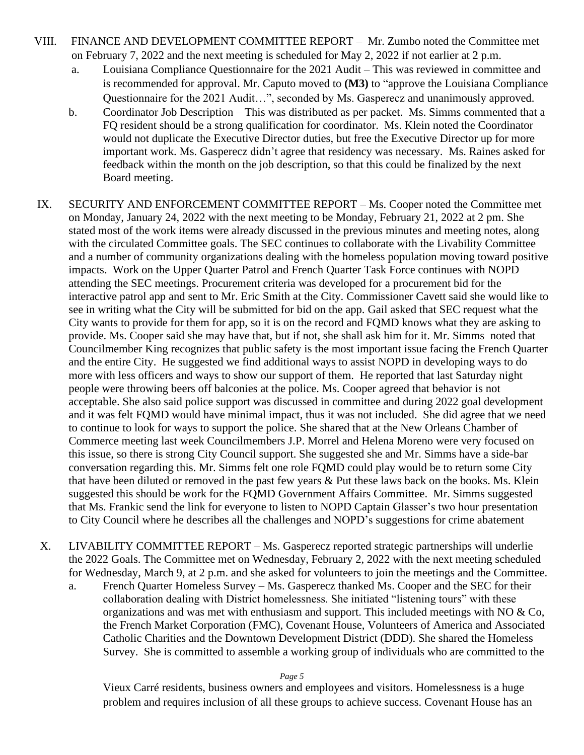- VIII. FINANCE AND DEVELOPMENT COMMITTEE REPORT Mr. Zumbo noted the Committee met on February 7, 2022 and the next meeting is scheduled for May 2, 2022 if not earlier at 2 p.m.
	- a. Louisiana Compliance Questionnaire for the 2021 Audit This was reviewed in committee and is recommended for approval. Mr. Caputo moved to **(M3)** to "approve the Louisiana Compliance Questionnaire for the 2021 Audit…", seconded by Ms. Gasperecz and unanimously approved.
	- b. Coordinator Job Description This was distributed as per packet. Ms. Simms commented that a FQ resident should be a strong qualification for coordinator. Ms. Klein noted the Coordinator would not duplicate the Executive Director duties, but free the Executive Director up for more important work. Ms. Gasperecz didn't agree that residency was necessary. Ms. Raines asked for feedback within the month on the job description, so that this could be finalized by the next Board meeting.
- IX. SECURITY AND ENFORCEMENT COMMITTEE REPORT Ms. Cooper noted the Committee met on Monday, January 24, 2022 with the next meeting to be Monday, February 21, 2022 at 2 pm. She stated most of the work items were already discussed in the previous minutes and meeting notes, along with the circulated Committee goals. The SEC continues to collaborate with the Livability Committee and a number of community organizations dealing with the homeless population moving toward positive impacts. Work on the Upper Quarter Patrol and French Quarter Task Force continues with NOPD attending the SEC meetings. Procurement criteria was developed for a procurement bid for the interactive patrol app and sent to Mr. Eric Smith at the City. Commissioner Cavett said she would like to see in writing what the City will be submitted for bid on the app. Gail asked that SEC request what the City wants to provide for them for app, so it is on the record and FQMD knows what they are asking to provide. Ms. Cooper said she may have that, but if not, she shall ask him for it. Mr. Simms noted that Councilmember King recognizes that public safety is the most important issue facing the French Quarter and the entire City. He suggested we find additional ways to assist NOPD in developing ways to do more with less officers and ways to show our support of them. He reported that last Saturday night people were throwing beers off balconies at the police. Ms. Cooper agreed that behavior is not acceptable. She also said police support was discussed in committee and during 2022 goal development and it was felt FQMD would have minimal impact, thus it was not included. She did agree that we need to continue to look for ways to support the police. She shared that at the New Orleans Chamber of Commerce meeting last week Councilmembers J.P. Morrel and Helena Moreno were very focused on this issue, so there is strong City Council support. She suggested she and Mr. Simms have a side-bar conversation regarding this. Mr. Simms felt one role FQMD could play would be to return some City that have been diluted or removed in the past few years & Put these laws back on the books. Ms. Klein suggested this should be work for the FQMD Government Affairs Committee. Mr. Simms suggested that Ms. Frankic send the link for everyone to listen to NOPD Captain Glasser's two hour presentation to City Council where he describes all the challenges and NOPD's suggestions for crime abatement
- X. LIVABILITY COMMITTEE REPORT Ms. Gasperecz reported strategic partnerships will underlie the 2022 Goals. The Committee met on Wednesday, February 2, 2022 with the next meeting scheduled for Wednesday, March 9, at 2 p.m. and she asked for volunteers to join the meetings and the Committee.
	- a. French Quarter Homeless Survey Ms. Gasperecz thanked Ms. Cooper and the SEC for their collaboration dealing with District homelessness. She initiated "listening tours" with these organizations and was met with enthusiasm and support. This included meetings with NO & Co, the French Market Corporation (FMC), Covenant House, Volunteers of America and Associated Catholic Charities and the Downtown Development District (DDD). She shared the Homeless Survey. She is committed to assemble a working group of individuals who are committed to the

*Page 5*

Vieux Carré residents, business owners and employees and visitors. Homelessness is a huge problem and requires inclusion of all these groups to achieve success. Covenant House has an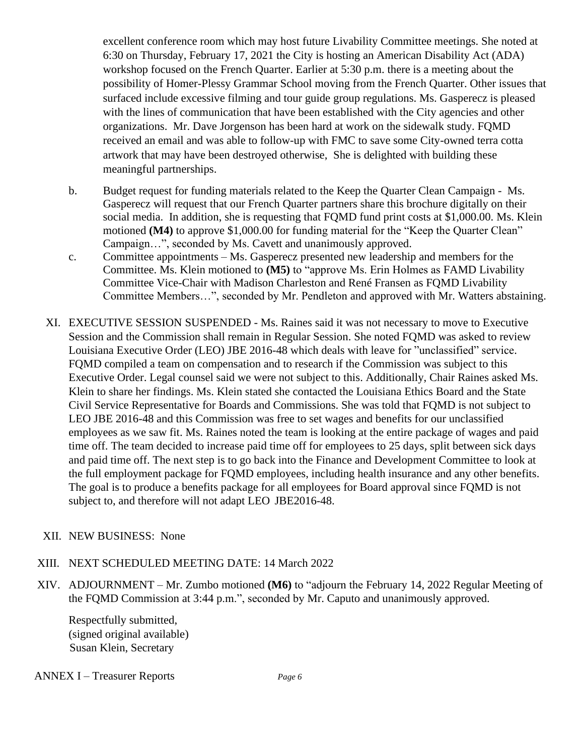excellent conference room which may host future Livability Committee meetings. She noted at 6:30 on Thursday, February 17, 2021 the City is hosting an American Disability Act (ADA) workshop focused on the French Quarter. Earlier at 5:30 p.m. there is a meeting about the possibility of Homer-Plessy Grammar School moving from the French Quarter. Other issues that surfaced include excessive filming and tour guide group regulations. Ms. Gasperecz is pleased with the lines of communication that have been established with the City agencies and other organizations. Mr. Dave Jorgenson has been hard at work on the sidewalk study. FQMD received an email and was able to follow-up with FMC to save some City-owned terra cotta artwork that may have been destroyed otherwise, She is delighted with building these meaningful partnerships.

- b. Budget request for funding materials related to the Keep the Quarter Clean Campaign Ms. Gasperecz will request that our French Quarter partners share this brochure digitally on their social media. In addition, she is requesting that FQMD fund print costs at \$1,000.00. Ms. Klein motioned **(M4)** to approve \$1,000.00 for funding material for the "Keep the Quarter Clean" Campaign…", seconded by Ms. Cavett and unanimously approved.
- c. Committee appointments Ms. Gasperecz presented new leadership and members for the Committee. Ms. Klein motioned to **(M5)** to "approve Ms. Erin Holmes as FAMD Livability Committee Vice-Chair with Madison Charleston and René Fransen as FQMD Livability Committee Members…", seconded by Mr. Pendleton and approved with Mr. Watters abstaining.
- XI. EXECUTIVE SESSION SUSPENDED Ms. Raines said it was not necessary to move to Executive Session and the Commission shall remain in Regular Session. She noted FQMD was asked to review Louisiana Executive Order (LEO) JBE 2016-48 which deals with leave for "unclassified" service. FQMD compiled a team on compensation and to research if the Commission was subject to this Executive Order. Legal counsel said we were not subject to this. Additionally, Chair Raines asked Ms. Klein to share her findings. Ms. Klein stated she contacted the Louisiana Ethics Board and the State Civil Service Representative for Boards and Commissions. She was told that FQMD is not subject to LEO JBE 2016-48 and this Commission was free to set wages and benefits for our unclassified employees as we saw fit. Ms. Raines noted the team is looking at the entire package of wages and paid time off. The team decided to increase paid time off for employees to 25 days, split between sick days and paid time off. The next step is to go back into the Finance and Development Committee to look at the full employment package for FQMD employees, including health insurance and any other benefits. The goal is to produce a benefits package for all employees for Board approval since FQMD is not subject to, and therefore will not adapt LEO JBE2016-48.

#### XII. NEW BUSINESS: None

#### XIII. NEXT SCHEDULED MEETING DATE: 14 March 2022

XIV. ADJOURNMENT – Mr. Zumbo motioned **(M6)** to "adjourn the February 14, 2022 Regular Meeting of the FQMD Commission at 3:44 p.m.", seconded by Mr. Caputo and unanimously approved.

Respectfully submitted, (signed original available) Susan Klein, Secretary

ANNEX I – Treasurer Reports *Page 6*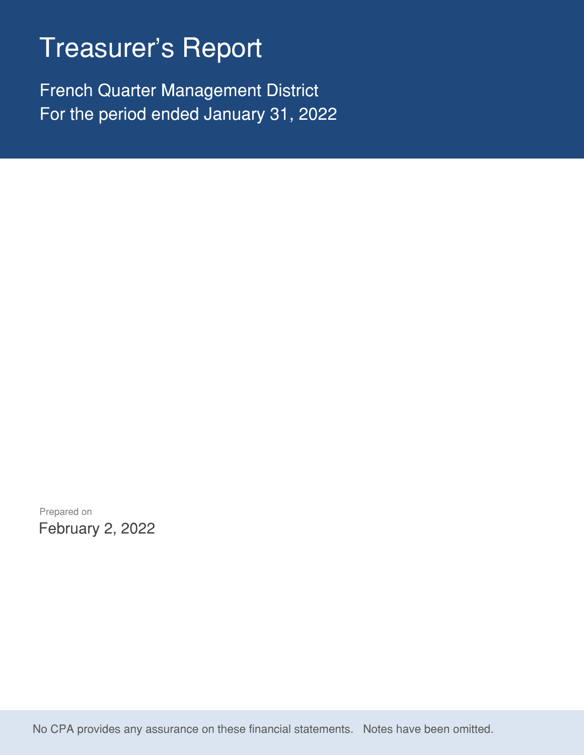# Treasurer's Report

French Quarter Management District For the period ended January 31, 2022

Prepared on February 2, 2022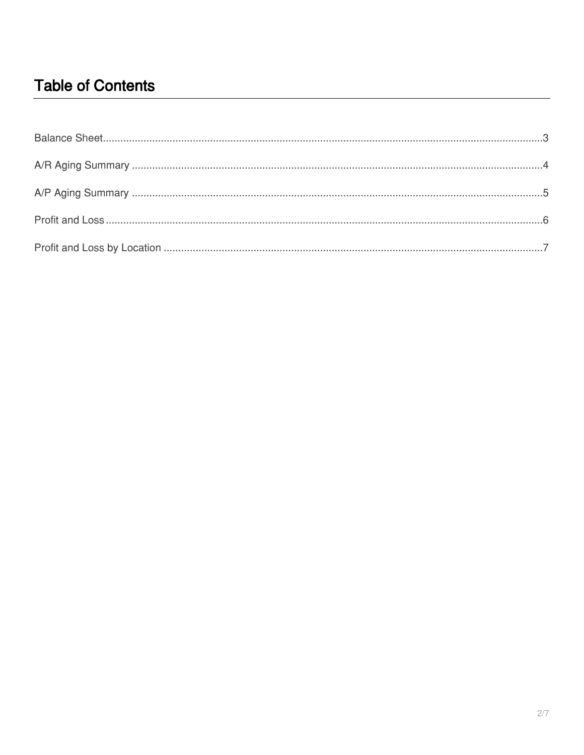# **Table of Contents**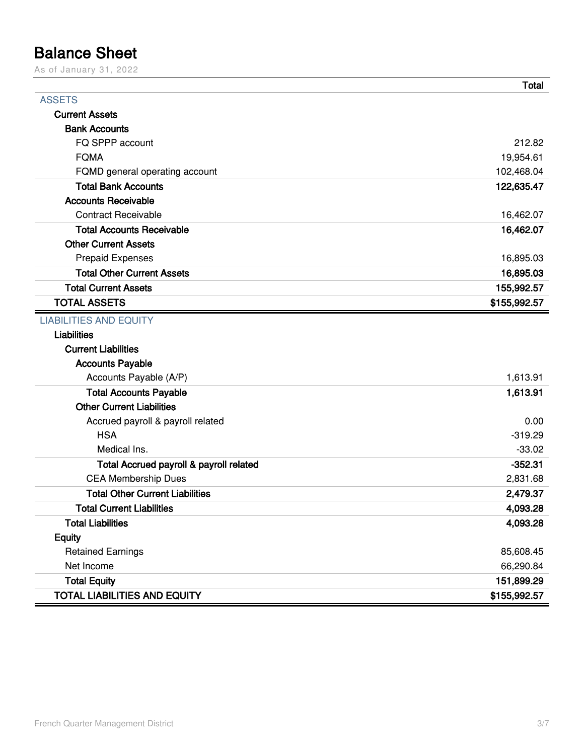# <span id="page-8-0"></span>**Balance Sheet**

As of January 31, 2022

|                                         | <b>Total</b> |
|-----------------------------------------|--------------|
| <b>ASSETS</b>                           |              |
| <b>Current Assets</b>                   |              |
| <b>Bank Accounts</b>                    |              |
| FQ SPPP account                         | 212.82       |
| <b>FQMA</b>                             | 19,954.61    |
| FQMD general operating account          | 102,468.04   |
| <b>Total Bank Accounts</b>              | 122,635.47   |
| <b>Accounts Receivable</b>              |              |
| <b>Contract Receivable</b>              | 16,462.07    |
| <b>Total Accounts Receivable</b>        | 16,462.07    |
| <b>Other Current Assets</b>             |              |
| <b>Prepaid Expenses</b>                 | 16,895.03    |
| <b>Total Other Current Assets</b>       | 16,895.03    |
| <b>Total Current Assets</b>             | 155,992.57   |
| <b>TOTAL ASSETS</b>                     | \$155,992.57 |
| <b>LIABILITIES AND EQUITY</b>           |              |
| <b>Liabilities</b>                      |              |
| <b>Current Liabilities</b>              |              |
| <b>Accounts Payable</b>                 |              |
| Accounts Payable (A/P)                  | 1,613.91     |
| <b>Total Accounts Payable</b>           | 1,613.91     |
| <b>Other Current Liabilities</b>        |              |
| Accrued payroll & payroll related       | 0.00         |
| <b>HSA</b>                              | $-319.29$    |
| Medical Ins.                            | $-33.02$     |
| Total Accrued payroll & payroll related | $-352.31$    |
| <b>CEA Membership Dues</b>              | 2,831.68     |
| <b>Total Other Current Liabilities</b>  | 2,479.37     |
| <b>Total Current Liabilities</b>        | 4,093.28     |
| <b>Total Liabilities</b>                | 4,093.28     |
| <b>Equity</b>                           |              |
| <b>Retained Earnings</b>                | 85,608.45    |
| Net Income                              | 66,290.84    |
| <b>Total Equity</b>                     | 151,899.29   |
| <b>TOTAL LIABILITIES AND EQUITY</b>     | \$155,992.57 |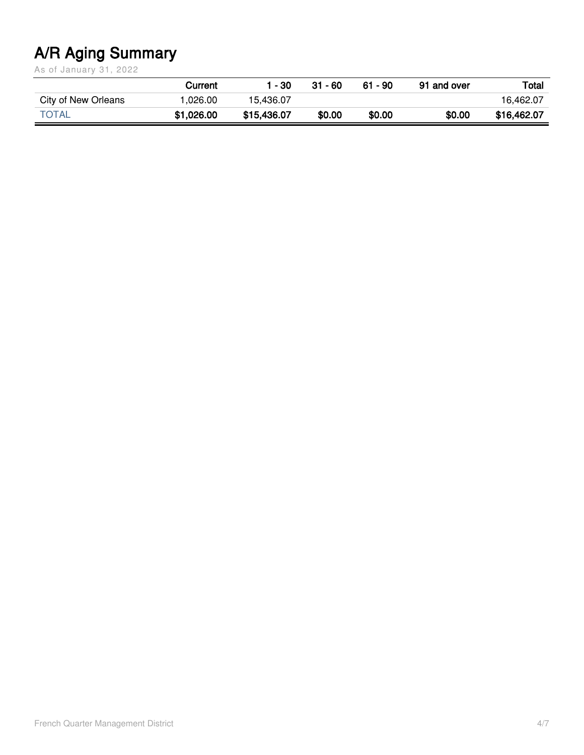# <span id="page-9-0"></span>**A/R Aging Summary**

As of January 31, 2022

|                     | Current    | - 30        | 31 - 60 | $61 - 90$ | 91 and over | Total       |
|---------------------|------------|-------------|---------|-----------|-------------|-------------|
| City of New Orleans | .026.00    | 15.436.07   |         |           |             | 16.462.07   |
| <b>TOTAL</b>        | \$1,026.00 | \$15,436.07 | \$0.00  | \$0.00    | \$0.00      | \$16,462.07 |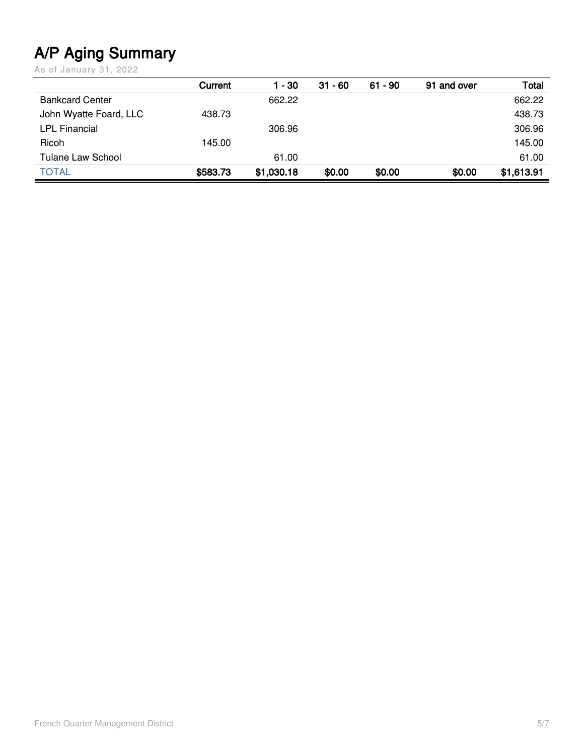# <span id="page-10-0"></span>**A/P Aging Summary**

As of January 31, 2022

|                          | Current  | 1 - 30     | $31 - 60$ | $61 - 90$ | 91 and over | Total      |
|--------------------------|----------|------------|-----------|-----------|-------------|------------|
| <b>Bankcard Center</b>   |          | 662.22     |           |           |             | 662.22     |
| John Wyatte Foard, LLC   | 438.73   |            |           |           |             | 438.73     |
| <b>LPL Financial</b>     |          | 306.96     |           |           |             | 306.96     |
| Ricoh                    | 145.00   |            |           |           |             | 145.00     |
| <b>Tulane Law School</b> |          | 61.00      |           |           |             | 61.00      |
| <b>TOTAL</b>             | \$583.73 | \$1,030.18 | \$0.00    | \$0.00    | \$0.00      | \$1,613.91 |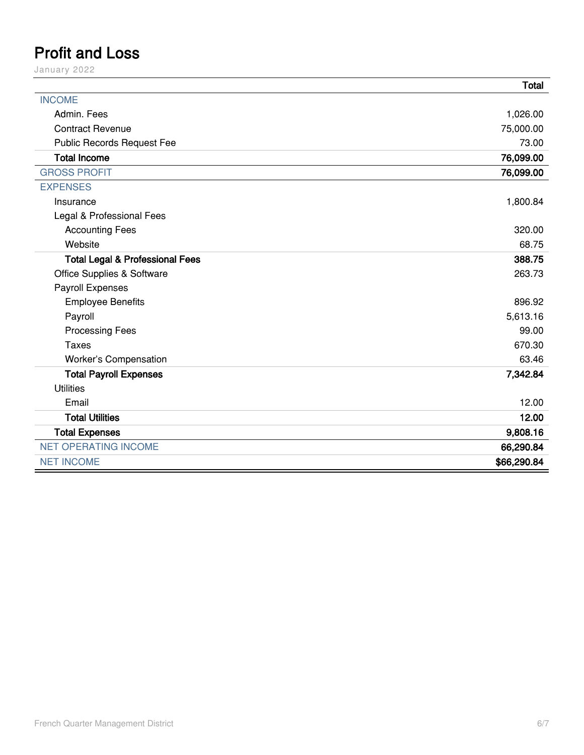# <span id="page-11-0"></span>**Profit and Loss**

January 2022

|                                            | <b>Total</b> |
|--------------------------------------------|--------------|
| <b>INCOME</b>                              |              |
| Admin. Fees                                | 1,026.00     |
| <b>Contract Revenue</b>                    | 75,000.00    |
| Public Records Request Fee                 | 73.00        |
| <b>Total Income</b>                        | 76,099.00    |
| <b>GROSS PROFIT</b>                        | 76,099.00    |
| <b>EXPENSES</b>                            |              |
| Insurance                                  | 1,800.84     |
| Legal & Professional Fees                  |              |
| <b>Accounting Fees</b>                     | 320.00       |
| Website                                    | 68.75        |
| <b>Total Legal &amp; Professional Fees</b> | 388.75       |
| Office Supplies & Software                 | 263.73       |
| Payroll Expenses                           |              |
| <b>Employee Benefits</b>                   | 896.92       |
| Payroll                                    | 5,613.16     |
| <b>Processing Fees</b>                     | 99.00        |
| <b>Taxes</b>                               | 670.30       |
| Worker's Compensation                      | 63.46        |
| <b>Total Payroll Expenses</b>              | 7,342.84     |
| <b>Utilities</b>                           |              |
| Email                                      | 12.00        |
| <b>Total Utilities</b>                     | 12.00        |
| <b>Total Expenses</b>                      | 9,808.16     |
| <b>NET OPERATING INCOME</b>                | 66,290.84    |
| <b>NET INCOME</b>                          | \$66,290.84  |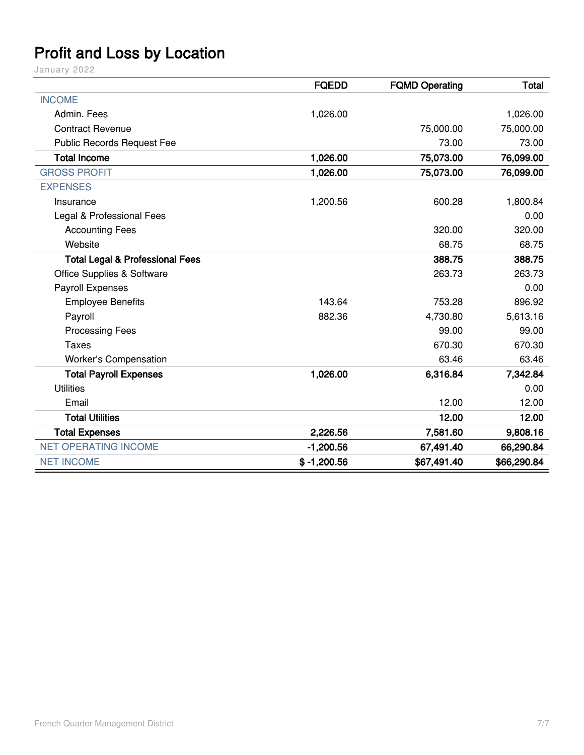# <span id="page-12-0"></span>**Profit and Loss by Location**

January 2022

|                                            | <b>FQEDD</b>  | <b>FQMD Operating</b> | Total       |
|--------------------------------------------|---------------|-----------------------|-------------|
| <b>INCOME</b>                              |               |                       |             |
| Admin, Fees                                | 1,026.00      |                       | 1,026.00    |
| <b>Contract Revenue</b>                    |               | 75,000.00             | 75,000.00   |
| <b>Public Records Request Fee</b>          |               | 73.00                 | 73.00       |
| <b>Total Income</b>                        | 1,026.00      | 75,073.00             | 76,099.00   |
| <b>GROSS PROFIT</b>                        | 1,026.00      | 75,073.00             | 76,099.00   |
| <b>EXPENSES</b>                            |               |                       |             |
| Insurance                                  | 1,200.56      | 600.28                | 1,800.84    |
| Legal & Professional Fees                  |               |                       | 0.00        |
| <b>Accounting Fees</b>                     |               | 320.00                | 320.00      |
| Website                                    |               | 68.75                 | 68.75       |
| <b>Total Legal &amp; Professional Fees</b> |               | 388.75                | 388.75      |
| <b>Office Supplies &amp; Software</b>      |               | 263.73                | 263.73      |
| Payroll Expenses                           |               |                       | 0.00        |
| <b>Employee Benefits</b>                   | 143.64        | 753.28                | 896.92      |
| Payroll                                    | 882.36        | 4,730.80              | 5,613.16    |
| <b>Processing Fees</b>                     |               | 99.00                 | 99.00       |
| <b>Taxes</b>                               |               | 670.30                | 670.30      |
| <b>Worker's Compensation</b>               |               | 63.46                 | 63.46       |
| <b>Total Payroll Expenses</b>              | 1,026.00      | 6,316.84              | 7,342.84    |
| <b>Utilities</b>                           |               |                       | 0.00        |
| Email                                      |               | 12.00                 | 12.00       |
| <b>Total Utilities</b>                     |               | 12.00                 | 12.00       |
| <b>Total Expenses</b>                      | 2,226.56      | 7,581.60              | 9,808.16    |
| <b>NET OPERATING INCOME</b>                | $-1,200.56$   | 67,491.40             | 66,290.84   |
| <b>NET INCOME</b>                          | $$ -1,200.56$ | \$67,491.40           | \$66,290.84 |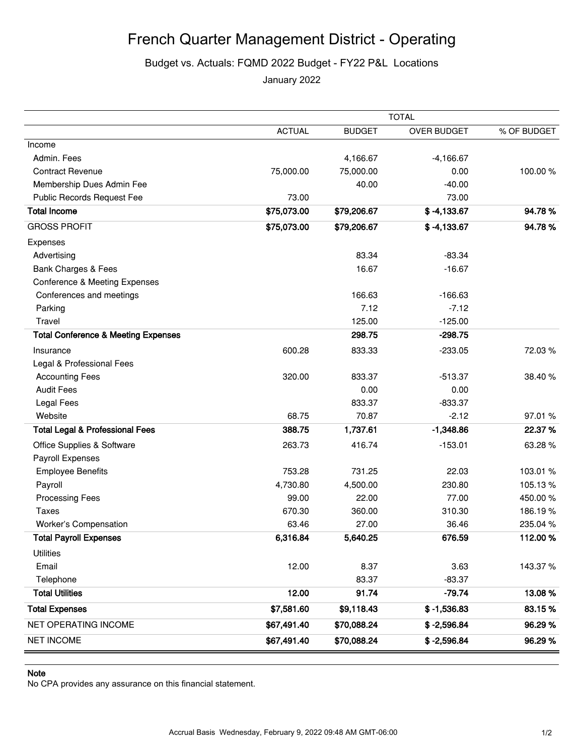## French Quarter Management District - Operating

#### Budget vs. Actuals: FQMD 2022 Budget - FY22 P&L Locations

January 2022

|                                                |               |               | <b>TOTAL</b>       |             |
|------------------------------------------------|---------------|---------------|--------------------|-------------|
|                                                | <b>ACTUAL</b> | <b>BUDGET</b> | <b>OVER BUDGET</b> | % OF BUDGET |
| Income                                         |               |               |                    |             |
| Admin. Fees                                    |               | 4,166.67      | $-4,166.67$        |             |
| <b>Contract Revenue</b>                        | 75,000.00     | 75,000.00     | 0.00               | 100.00%     |
| Membership Dues Admin Fee                      |               | 40.00         | $-40.00$           |             |
| Public Records Request Fee                     | 73.00         |               | 73.00              |             |
| <b>Total Income</b>                            | \$75,073.00   | \$79,206.67   | $$ -4,133.67$      | 94.78%      |
| <b>GROSS PROFIT</b>                            | \$75,073.00   | \$79,206.67   | $$ -4,133.67$      | 94.78%      |
| Expenses                                       |               |               |                    |             |
| Advertising                                    |               | 83.34         | $-83.34$           |             |
| Bank Charges & Fees                            |               | 16.67         | $-16.67$           |             |
| <b>Conference &amp; Meeting Expenses</b>       |               |               |                    |             |
| Conferences and meetings                       |               | 166.63        | $-166.63$          |             |
| Parking                                        |               | 7.12          | $-7.12$            |             |
| Travel                                         |               | 125.00        | $-125.00$          |             |
| <b>Total Conference &amp; Meeting Expenses</b> |               | 298.75        | $-298.75$          |             |
| Insurance                                      | 600.28        | 833.33        | $-233.05$          | 72.03%      |
| Legal & Professional Fees                      |               |               |                    |             |
| <b>Accounting Fees</b>                         | 320.00        | 833.37        | $-513.37$          | 38.40 %     |
| <b>Audit Fees</b>                              |               | 0.00          | 0.00               |             |
| <b>Legal Fees</b>                              |               | 833.37        | $-833.37$          |             |
| Website                                        | 68.75         | 70.87         | $-2.12$            | 97.01 %     |
| <b>Total Legal &amp; Professional Fees</b>     | 388.75        | 1,737.61      | $-1,348.86$        | 22.37%      |
| Office Supplies & Software                     | 263.73        | 416.74        | $-153.01$          | 63.28%      |
| Payroll Expenses                               |               |               |                    |             |
| <b>Employee Benefits</b>                       | 753.28        | 731.25        | 22.03              | 103.01 %    |
| Payroll                                        | 4,730.80      | 4,500.00      | 230.80             | 105.13%     |
| Processing Fees                                | 99.00         | 22.00         | 77.00              | 450.00%     |
| Taxes                                          | 670.30        | 360.00        | 310.30             | 186.19%     |
| Worker's Compensation                          | 63.46         | 27.00         | 36.46              | 235.04 %    |
| <b>Total Payroll Expenses</b>                  | 6,316.84      | 5,640.25      | 676.59             | 112.00%     |
| <b>Utilities</b>                               |               |               |                    |             |
| Email                                          | 12.00         | 8.37          | 3.63               | 143.37%     |
| Telephone                                      |               | 83.37         | $-83.37$           |             |
| <b>Total Utilities</b>                         | 12.00         | 91.74         | $-79.74$           | 13.08%      |
| <b>Total Expenses</b>                          | \$7,581.60    | \$9,118.43    | $$ -1,536.83$      | 83.15%      |
| NET OPERATING INCOME                           | \$67,491.40   | \$70,088.24   | $$ -2,596.84$      | 96.29%      |
| <b>NET INCOME</b>                              | \$67,491.40   | \$70,088.24   | $$ -2,596.84$      | 96.29%      |

#### **Note**

No CPA provides any assurance on this financial statement.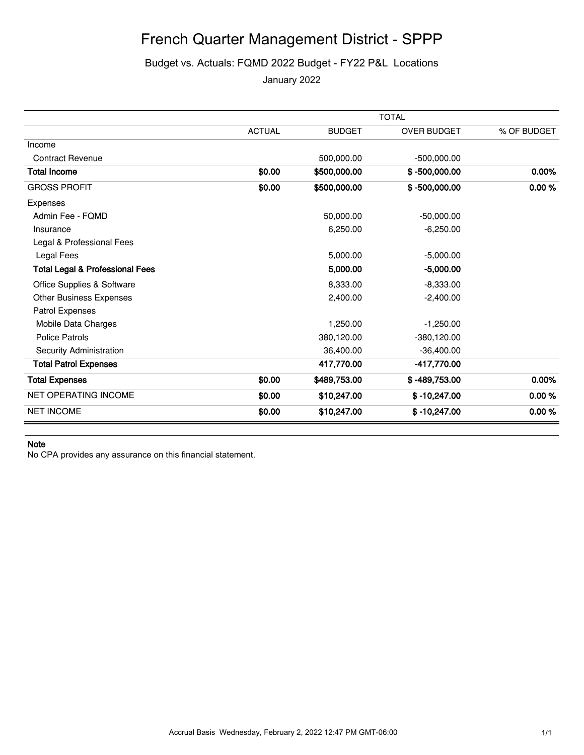# French Quarter Management District - SPPP

### Budget vs. Actuals: FQMD 2022 Budget - FY22 P&L Locations

January 2022

|                                            | <b>TOTAL</b>  |               |                    |             |  |
|--------------------------------------------|---------------|---------------|--------------------|-------------|--|
|                                            | <b>ACTUAL</b> | <b>BUDGET</b> | <b>OVER BUDGET</b> | % OF BUDGET |  |
| Income                                     |               |               |                    |             |  |
| <b>Contract Revenue</b>                    |               | 500,000.00    | $-500,000.00$      |             |  |
| <b>Total Income</b>                        | \$0.00        | \$500,000.00  | $$ -500,000.00$    | 0.00%       |  |
| <b>GROSS PROFIT</b>                        | \$0.00        | \$500,000.00  | $$ -500,000.00$    | 0.00%       |  |
| Expenses                                   |               |               |                    |             |  |
| Admin Fee - FQMD                           |               | 50,000.00     | $-50,000.00$       |             |  |
| Insurance                                  |               | 6,250.00      | $-6,250.00$        |             |  |
| Legal & Professional Fees                  |               |               |                    |             |  |
| Legal Fees                                 |               | 5,000.00      | $-5,000.00$        |             |  |
| <b>Total Legal &amp; Professional Fees</b> |               | 5,000.00      | $-5,000.00$        |             |  |
| Office Supplies & Software                 |               | 8,333.00      | $-8,333.00$        |             |  |
| Other Business Expenses                    |               | 2,400.00      | $-2,400.00$        |             |  |
| Patrol Expenses                            |               |               |                    |             |  |
| Mobile Data Charges                        |               | 1,250.00      | $-1,250.00$        |             |  |
| <b>Police Patrols</b>                      |               | 380,120.00    | $-380,120.00$      |             |  |
| Security Administration                    |               | 36,400.00     | $-36,400.00$       |             |  |
| <b>Total Patrol Expenses</b>               |               | 417,770.00    | -417,770.00        |             |  |
| <b>Total Expenses</b>                      | \$0.00        | \$489,753.00  | $$ -489,753.00$    | 0.00%       |  |
| <b>NET OPERATING INCOME</b>                | \$0.00        | \$10,247.00   | $$ -10,247.00$     | 0.00%       |  |
| <b>NET INCOME</b>                          | \$0.00        | \$10,247.00   | $$ -10,247.00$     | 0.00%       |  |

#### **Note**

No CPA provides any assurance on this financial statement.